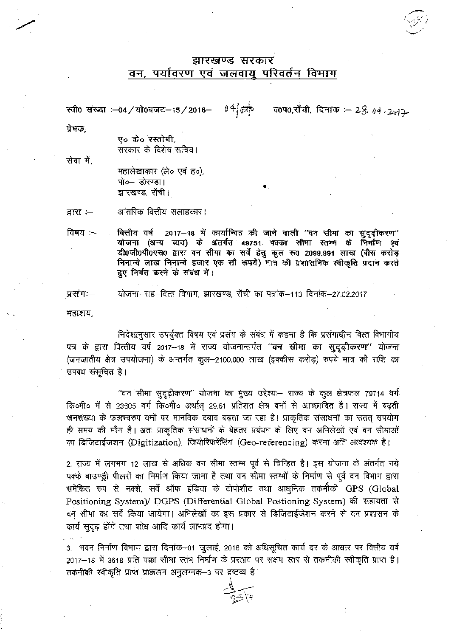## झारखण्ड सरकार वन, पर्यावरण एवं जलवायु परिवर्तन विभाग

 $0.4$   $\frac{1}{50}$ व0प0,राँची, दिनांक : 28, 04.242 स्वी0 संख्या :-04 / यो0बजट-15 / 2016-

प्रेषकः

ए० के० रस्तोगी, सरकार के विशेष सचिव।

सेवा में.

महालेखाकार (ले० एवं ह०), पो०- डोरण्डा। झारखण्ड, राँची।

आंतरिक वित्तीय संताहकार। द्वारा $:=$ 

वित्तीय वर्ष 2017-18 में कार्यान्वित की जाने वाली ''वन सीमा का सुदृढ़ीकरण'' विषय:--योजना (अन्य व्यय) के अंतर्गत 49751 पक्का सीमा स्तम्म के निर्माण एवं डी0जी0पी0एस0 द्वारा वन सीमा का सर्वे हेतु कुल रू0 2099.991 लाख (बीस करोड़ निनान्वे लाख निनान्वे हजार एक सौ रूपये) मात्र की प्रशासनिक स्वीकृति प्रदान करते हुए निर्गत करने के संबंध में।

योजना-सह-वित्त विभाग, झारखण्ड, राँची का पत्रांक-113 दिनांक-27.02.2017 प्रसंग:--

महाशय,

निदेशानुसार उपर्युक्त विषय एवं प्रसंग के संबंध में कहना है कि प्रसंगाधीन वित्त विभागीय यत्र के द्वारा वित्तीय वर्ष 2017--18 में राज्य योजनान्तर्गत "वन सीमा का सुदृढ़ीकरण" योजना (जनजातीय क्षेत्र उपयोजना) के अन्तर्गत कुल--2100.000 लाख (इक्कीस करोड़) रुपये मात्र की राशि का उपबंध संसूचित है।

"वन सीमा सुदृढ़ीकरण" योजना का मुख्य उद्देश्यः– राज्य के कुल क्षेत्रफल 79714 वर्ग कि॰मी॰ में से 23605 वर्ग कि॰मी॰ अर्थात 29.61 प्रतिशत क्षेत्र वनों से आच्छादित है। राज्य में बढ़ती जनसंख्या के फलस्वरुप वनों पर मानविक दबाव बढ़ता जा रहा है। प्राकृतिक संसाधनों का सतत् उपयोग ही समय की माँग है। अतः प्राकृतिक संसाधनों के बेहतर प्रबंधन के लिए वन अभिलेखों एवं वन सीमाओं का डिजिटाईजशन (Digitization), जियोरिफरेंसिंग (Geo-referencing) करना अति आवश्यक है।

2. राज्य में लगभग 12 लाख से अधिक वन सीमा स्तम्भ पूर्व से चिन्हित है। इस योजना के अंतर्गत नये पक्के बाउण्ड्री पीलरों का निर्माण किया जाना है तथा वन सीमा स्तम्भों के निर्माण से पूर्व वन विभाग द्वारा समेकित रुप से नक्शे, सर्वे ऑफ इंडिया के टोपोशीट तथा आधुनिक तकनीकी GPS (Global Positioning System)/ DGPS (Differential Global Postioning System) की सहायता से वन सीमा का सर्वे किया जायेगा। अभिलेखों का इस प्रकार से डिजिटाईजेशन करने से वन प्रशासन के कार्य सुदृढ़ होंगे तथा शोध आदि कार्य लाभप्रद होगा।

3. भवन निर्माण विभाग द्वारा दिनांक—01 जुलाई, 2016 को अधिसूचित कार्य दर के आधार पर वित्तीय वर्ष 2017–18 में 3618 प्रति पक्का सीमा स्तंभ निर्माण के प्रस्ताव पर सक्षम स्तर से तकनीकी स्वीकृति प्राप्त है। तकनीकी स्वीकृति प्राप्त प्राक्कलन अनुलग्नक-3 पर द्रष्टव्य है।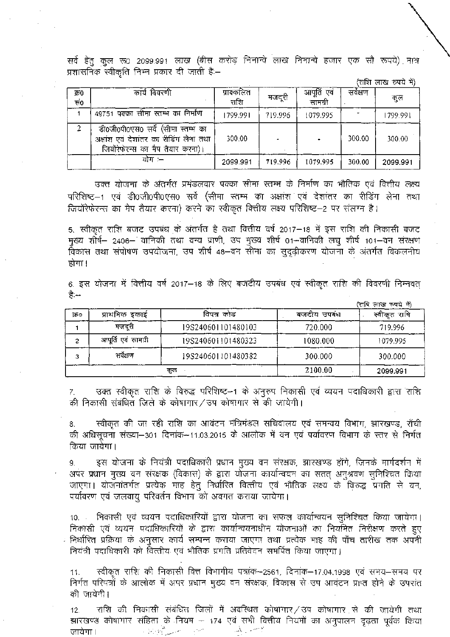सर्वे हेतु कुल रू0 2099.991 लाख (बीस करोड़ निनान्चे लाख निनान्चे हजार एक सौ रूपये) मात्र प्रशासनिक स्वीकृति निम्न प्रकार दी जाती है:-

(राशि लाख रुपये में)

| क्र0<br>सं0 | कार्य विवरणी                                                                                                      | प्राक्कलित<br>राशि | मजदरी   | आपूर्ति एवं<br>सामग्री | सर्वक्षण | कल       |
|-------------|-------------------------------------------------------------------------------------------------------------------|--------------------|---------|------------------------|----------|----------|
|             | 49751 पक्का सीमा स्तम्भ का निर्माण                                                                                | 1799.991           | 719.996 | 1079.995               |          | 1799.991 |
| 2           | डी0जी0पी0एस0 सर्वे (सीमा स्तम्भ का<br>अक्षांश एवं देशांतर का रीडिंग लेना तथा<br>जियोंरेफेरन्स का मैप तैयार करना)। | 300.00             |         |                        | 300.00   | 300.00   |
|             | योग :–                                                                                                            | 2099.991           | 719.996 | 1079.995               | 300.00   | 2099.991 |

अंतर्गत प्रमंडलवार पक्का सीमा स्तम्भ के निर्माण का भौतिक एवं वित्तीय स्तम्भ का अक्षांश एवं देशांतर का रीडिंग लेना जियोंरेफेरन्स का मैप तैयार करना) करने का स्वीकृत वित्तीय लक्ष्य परिशिष्ट-2 पर संलग्न है।

5. स्वीकृत राशि बजट उपबंध के अंतर्गत है तथा वित्तीय वर्ष 2017—18 में इस राशि की निकार - 2406– वानिकी तथा वन्य प्राणी, उप मुख्य शीर्ष 01–वानिकी लघु शीर्ष 101–वन तथा संपोषण उपयोजना, उप शीर्ष 48–वन सीमा का सुदृढ़ीकरण योजना के अंतर्गत होगा ।

6. 2017-18 हैं:--

|     |                     |                    |             | (राधि लाख रुपये में) |
|-----|---------------------|--------------------|-------------|----------------------|
| ফি০ | प्राथमिक इकाई       | विपत्र कोड         | बजदीय उपबंध | राषि<br>स्वीकत       |
|     | मजदरी               | 19S240601101480103 | 720.000     | 719.996              |
| 2   | आपूर्ति एवं सामग्री | 19S240601101480323 | 1080.000    | 1079.995             |
| 3   | सर्वेक्षण           | 19S240601101480382 | 300.000     | 300.000              |
| कल  |                     |                    | 2100.00     | 2099.991             |

उक्त स्वीकृत राशि के विरुद्ध परिशिष्ट–1 के अनुरुप निकासी एवं व्ययन पदाधिकारी द्वारा राशि 7. की निकासी संबंधित जिले के कोषागार/उप कोषागार से की जायेगी।

स्वीकृत की जा रही राशि का आवंटन मंत्रिमंडल सचिवालय एवं समन्वय विभाग, झारखण्ड, राँची की अधिसूचना संख्या–301 दिनांक–11.03.2015 के आलोक में वन एवं पर्यावरण विभाग के स्तर से निर्गत किया जायेगा।

9. इस योजना के नियंत्री पदाधिकारी प्रधान मुख्य वन संरक्षक, झारखण्ड होंगे, जिनके मार्गदर्शन में द्वारा योजना कार्यान्वयन का iरित वित्तीय एवं भौतिक लक्ष्य के विरुद्ध प्रगति से वन, पर्यावरण एवं जलवायु परिवर्तन विभाग को अवगत कराया जायेगा।

निकासी एवं व्ययन पदाधिकारियों द्वारा योजना का सफल कार्यान्वयन सुनिश्चित किया जायेगा। 10. निकासी एवं व्ययन पदाधिकारियों के द्वारा कार्यान्वयनाधीन योजनाओं का नियमित निरीक्षण करते हुए ं निर्धारित प्रक्रिया के अनुसार कार्य सम्पन्न कराया जाएगा तथा प्रत्येक माह की पाँच तारीख तक अपनी नियंत्री पदाधिकारी को वित्तीय एवं भौतिक प्रगति प्रतिवेदन समर्पित किया जाएगा।

11. स्वीकृतं राशि की निकासी वित्तं विभागीय पत्राक—2561, दिनाक—17.04.1998 निर्गत परिपत्रों के आलोक में अपर प्रधान मुख्य वन संरक्षक, विकास से उप आवंटन प्राप्त होने के उपरांत की जायेगी।

12. राशि की निकासी संबंधित जिलों में अवस्थित कोषागार $\angle$ उप कोषागार झारखण्ड कोषागार संहिता के नियम — 174 एवं المستعصف والمحافظ والمناس مترور يو دست ا जायेगा ।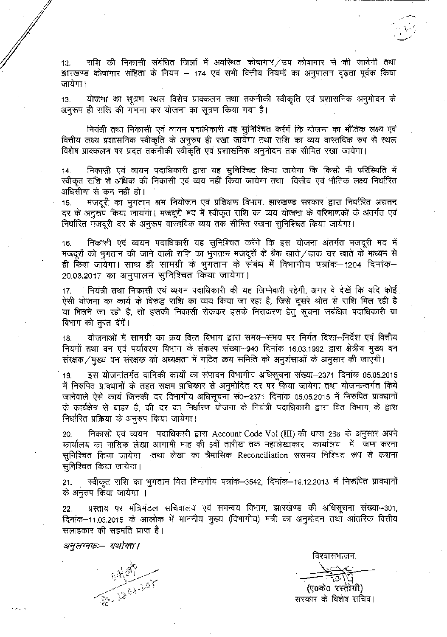राशि की निकासी संबंधित जिलों में अवस्थित कोषागार $\angle$ उप कोषागार से की जायेगी तथा 12. झारखण्ड कोषागार संहिता के नियम – 174 एवं सभी वित्तीय नियमों का अनुपालन दृढ़ता पूर्वक किया जायेगा ।

13. योजना का सूत्रण स्थल विशेष प्राक्कलन तथा तकनीकी स्वीकृति एवं प्रशासनिक अनुमोदन के अनुरूप ही राशि की गणना कर योजना का सूत्रण किया गया है।

नियंत्री तथा निकासी एवं व्ययन पदाधिकारी यह सुनिश्चित करेंगें कि योजना का भौतिक लक्ष्य एवं वित्तीय लक्ष्य प्रशासनिक स्वीकृति के अनुरुप ही रखा जायेंगा तथा राशि का व्यय वास्तविक रुप से स्थल विशेष प्राक्कलन पर प्रदत तकनीकी स्वीकृति एवं प्रशासनिक अनुमोदन तक सीमित रखा जायेगा।

निकासी एवं व्ययन पदाधिकारी द्वारा यह सुनिश्चित किया जायेगा कि किसी भी परिस्थिति में 14. निकासी एवं व्ययन पदाधिकारी द्वारा यह सुनिश्चित किया जायेगा कि किसी भी परिस्थिति में<br>स्वीकृत राशि से अधिक की निकासी एवं व्यय नहीं किया जायेगा तथा वित्तीय एवं भौतिक लक्ष्य निर्धारित अधिसीमा से कम नहीं हो।

15. का भुगता<mark>न</mark> जायगा। मजदूरी मद में स्वीकृत राशि का व्यय योजना के परिमाणकों के अंतर्गत निर्धारित मजदूरी दर के अनुरूप वास्तविक व्यय तक सीमित रखना सुनिश्चित किया जायेगा।

16. एवं व्ययन पदाधिकारी यह सुनिश्चित करेंगे कि इस योजना अंतर्गत मजदूरों को भूगतान की जाने वाली राशि का भूगतान मजदूरों के बैंक खाते/डाक घर खाते के माध्यम से साथ ही सामग्रा के भुगतान के संबंध में विभागाय पत्राक—1204 20.03.2017 का अनुपालन सुनिश्चित किया जायेगा।

17. नियंत्री तथा निकासी एवं व्ययन पदाधिकारी की यह जिम्मेवारी रहेगी, अगर वे देखें कि यदि कोई<br>ऐसी योजना का कार्य के विरुद्ध राशि का व्यय किया जा रहा है, जिसे दूसरे श्रोत से राशि मिल रही है 17. या मिलने जा रही है, तो इसकी निकासी रोककर इसके निराकरण हेत् सूचना संबंधित पदाधिकारी या विभाग को तुरंत देंगें।

18. नियमों तथा वन एवं पर्यावरण विभाग के संकल्प संख्या–940 दिनांक 16.03.1992 योजनाओं में सामग्री का क्रय वित्त विभाग द्वारा समय—समय पर निर्गत दिशा—निर्देश एवं वित्तीय संरक्षक / मुख्य वन संरक्षक को अध्यक्षता में गठित क्रय समिति की अनुशंसाओं के अनुसार की जाएगी।

19. इस योजनांतर्गत वानिकी कार्यों का संपादन विभागीय अधिसूचना संख्या–2371 दिनांक 05.05.2015 में निरुपित प्राक्धानों के तहत सक्षम प्राधिकार से अनुमोदित दर पर किया जायेगा तथा योजनान्तर्गत किये कार्य जिनकी दर विभागीय अधिसूचना सं0–2371 दिनांक 05.05.2015 में निरुपित प्रावधानों त्या जनवंत पर तिनानांच जावराचना राज्य 2577 तिनाक 65.65.2015 ने नगरान्त प्राचना ग<br>बाहर है, की दर का निर्धारण योजना के नियंत्री पदाधिकारी द्वारा वित विभाग के द्वारा निर्धारित प्रक्रिया के अनुरुप किया जायेगा।

एवं व्ययन पदाधिकारी द्वारा Account Code Vol (III) की धारा 268 20. कार्यालय का मासिक लेखा आगामी माह की 5वीं तारीख तक महालेखाकार कार्यालय में जमा करना सुनिश्चित किया जायेगा तथा लेखा का त्रैमासिक Reconciliation ससमय निश्चित रूप से कराना सुनिश्चित किया जायेगा।

स्वीकृत राशि का भुगतान वित्त विभागीय पत्रांक–3542, दिनांक–19.12.2013 में निरूपित प्रावधानों 21. के अनुरुप किया जायेगा ।

22. दिनांक–11.03.2015 के आलोक में माननीय मुख्य (विभागीय) मंत्री का अनुमोदन तथा आंतरिक वित्तीय सलाहकार की सहमति प्राप्त है। प्रस्ताव पर मंत्रिमंडल सचिवालय एवं समन्वय विभाग, झारखण्ड की अधिसूचना संख्या-301,

अनुलग्नकः— यथोक्त।

一、叫呼

विश्वासभाजन,

(ए0के0 रस्तींगी) सरकार के विशेष सचिव।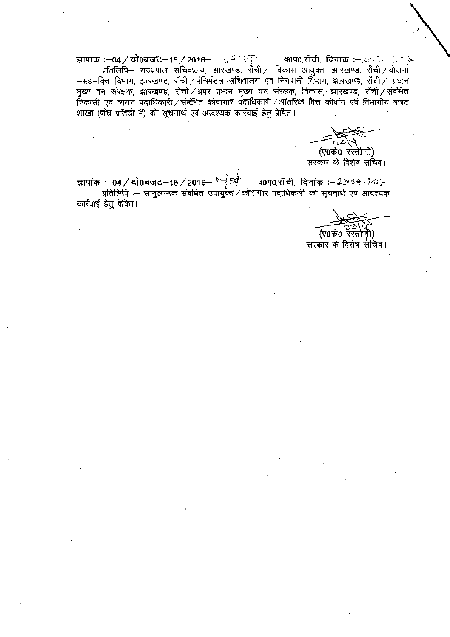ज्ञापांक :–04/यो0बजट-15/2016– ६ - ब्रिटि व0प0,राँची, दिनांक : $\rightarrow$   $\rightarrow$   $\rightarrow$   $\rightarrow$   $\rightarrow$ प्रतिलिपि- राज्यपाल सचिवालय, झारखण्ड, राँची / विकास आयुक्त, झारखण्ड, राँची / योजना -सह-वित्त विभाग, झारखण्ड, राँची/मंत्रिमंडल सचिवालय एवं निगरानी विभाग, झारखण्ड, राँची/ प्रधान मुख्य वन सरक्षक, झारखण्ड, राँची/अपर प्रधान मुख्य वन संरक्षक, विकास, झारखण्ड, राँची/संबंधित निकासी एवं व्ययन पदाधिकारी / संबंधित कोषागार पदाधिकारी / आंतरिक वित्त कोषांग एवं विभागीय बजट शाखा (पाँच प्रतियों में) को सूचनार्थ एवं आवश्यक कार्रवाई हेतु प्रेषित।

(ए0के0 रस्तोगी) सरकार के विशेष सचिव।

ज्ञापांक :—04 / यो0बजट—15 / 2016— <sup>है स</sup>ै<sup>ल</sup>े व0प0,शाँची, दिनांक :— 2& 6*4 : 2*ज}-<br>प्रतिलिपि :— सानुलग्नक संबंधित उपायुक्त / कोषागार पदाधिकारी को सूचनार्थ एवं आवश्यक कार्रवाई हेतु प्रेषित।

(ए0के0 रॅस्तोमी)

सरकार के विशेष सचिव।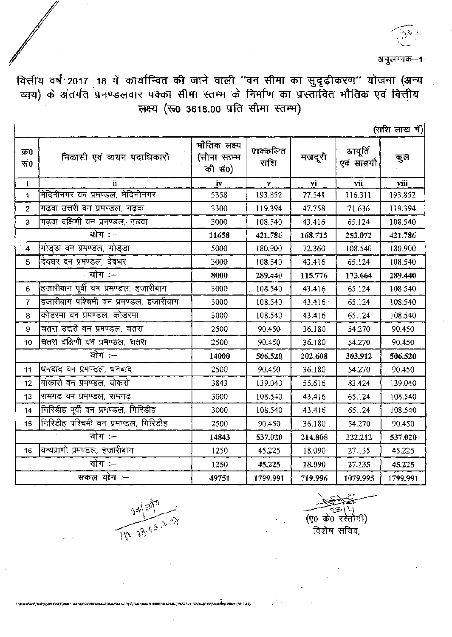अनुलम्नक–1

वित्तीय वर्ष 2017—18 में कार्यान्वित की जाने वाली ''वन सीमा का सुदृढ़ीकरण'' योजना (अन्य<br>व्यय) के अंतर्गत प्रमण्डलवार पक्का सीमा स्तम्म के निर्माण का प्रस्तावित मौतिक एवं वित्तीय लक्ष्य (रू0 3618.00 प्रति सीमा स्तम्भ)

| त्साश | लाख | में ) |
|-------|-----|-------|
|       |     |       |

| क्र0<br>सं0         | निकासी एवं व्ययन पदाधिकारी             | मौतिक लक्ष्य<br>(सीमा स्तम्भ<br>की सं0) | प्राक्कलित<br>राशि | मजदूरी  | आपूर्ति<br>एवं साम्रगी | कुल      |
|---------------------|----------------------------------------|-----------------------------------------|--------------------|---------|------------------------|----------|
| $\mathbf i$         | ij.                                    |                                         | $\mathbf{v}$       | vi      | vii                    | viii     |
| $\ddot{\mathbf{a}}$ | मेदिनीनगर वन प्रमण्डल, मेदिनीनगर       | 5358                                    | 193.852            | 77.541  | 116.311                | 193.852  |
| $\overline{2}$      | गढ़वा उत्तरी वन प्रमण्डल, गढ़वा        | 3300                                    | 119.394            | 47.758  | 71.636                 | 119.394  |
| 3                   | गढ़वा दक्षिणी वन प्रमण्डल, गढ़वा       | 3000                                    | 108.540            | 43.416  | 65.124                 | 108.540  |
| योग :--             |                                        | 11658                                   | 421.786            | 168.715 | 253.072                | 421.786  |
| $\overline{4}$      | 'गोडडा वन प्रमण्डल, गोडडा              | 5000                                    | 180.900            | 72.360  | 108.540                | 180.900  |
| 5                   | दिवघर वन प्रमण्डल, देवघर               | 3000                                    | 108.540            | 43.416  | 65.124                 | 108.540  |
| योग :--             |                                        | 8000                                    | 289.440            | 115,776 | 173.664                | 289.440  |
| 6                   | हजारीबाग पूर्वी वन प्रमण्डल, हजारीबाग  | 3000                                    | 108.540            | 43.416  | 65.124                 | 108.540  |
| $\overline{7}$      | हजारीबाग पश्चिमी वन प्रमण्डल, हजारीबाग | 3000                                    | 108.540            | 43.416  | 65.124                 | 108.540  |
| 8                   | कोडरमा वन प्रमण्डल, कोडरमा             | 3000                                    | 108.540            | 43.416  | 65.124                 | 108.540  |
| 9                   | चतरा उत्तरी वन प्रमण्डल, चतरा          | 2500                                    | 90.450             | 36.180  | 54.270                 | 90.450   |
| 10                  | चतरा दक्षिणी वन प्रमण्डल, घतरा         | 2500                                    | 90.450             | 36.180  | 54.270                 | 90.450   |
| योग :--             |                                        | 14000                                   | 506,520            | 202.608 | 303.912                | 506.520  |
| 11                  | धिनबाद वन प्रमण्डल, धनबाद              | 2500                                    | 90.450             | 36.180  | 54.270                 | 90.450   |
| 12                  | 'बोकारो वन प्रमण्डल, बोकरो             | 3843                                    | 139.040            | 55.616  | 83.424                 | 139.040  |
| 13                  | रामगढ वन प्रमण्डल, रामगढ़              | 3000                                    | 108.540            | 43.416  | 65.124                 | 108.540  |
| 14                  | गिरिडीह पूर्वी वन प्रमण्डल, गिरिडीह    | 3000                                    | 108.540            | 43,416  | 65.124                 | 108.540  |
| 15 <sub>15</sub>    | [गिरिडीह पश्चिमी वन प्रमण्डल, गिरिडीह  | 2500                                    | 90.450             | 36.180  | 54.270                 | 90.450   |
| योग :--             |                                        | 14843                                   | 537.020            | 214.808 | 322.212                | 537.020  |
| 16 <sub>1</sub>     | विन्यप्राणी प्रमण्डल, हजारीबाग         | 1250                                    | 45.225             | 18.090  | 27.135                 | 45.225   |
| योग :—              |                                        | 1250                                    | 45.225             | 18.090  | 27.135                 | 45.225   |
| सकल योग :--         |                                        | 49751                                   | 1799.991           | 719.996 | 1079.995               | 1799.991 |

12017-180



ł

(ए0 के0 रस्तौगी) विशेष सचिव,